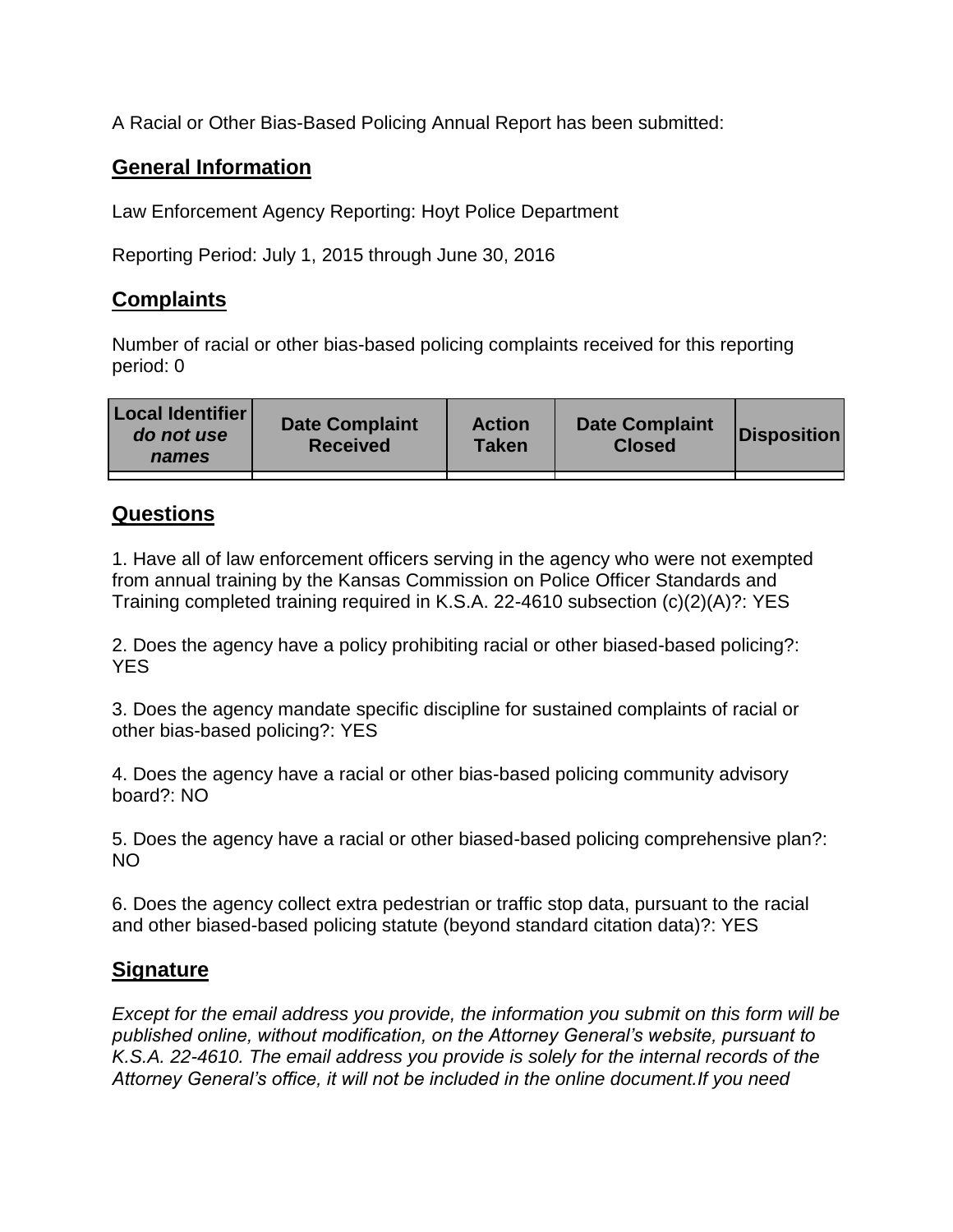A Racial or Other Bias-Based Policing Annual Report has been submitted:

## **General Information**

Law Enforcement Agency Reporting: Hoyt Police Department

Reporting Period: July 1, 2015 through June 30, 2016

## **Complaints**

Number of racial or other bias-based policing complaints received for this reporting period: 0

| <b>Local Identifier</b><br>do not use<br>names | <b>Date Complaint</b><br><b>Received</b> | <b>Action</b><br><b>Taken</b> | <b>Date Complaint</b><br><b>Closed</b> | Disposition |
|------------------------------------------------|------------------------------------------|-------------------------------|----------------------------------------|-------------|
|                                                |                                          |                               |                                        |             |

## **Questions**

1. Have all of law enforcement officers serving in the agency who were not exempted from annual training by the Kansas Commission on Police Officer Standards and Training completed training required in K.S.A. 22-4610 subsection (c)(2)(A)?: YES

2. Does the agency have a policy prohibiting racial or other biased-based policing?: YES

3. Does the agency mandate specific discipline for sustained complaints of racial or other bias-based policing?: YES

4. Does the agency have a racial or other bias-based policing community advisory board?: NO

5. Does the agency have a racial or other biased-based policing comprehensive plan?: NO

6. Does the agency collect extra pedestrian or traffic stop data, pursuant to the racial and other biased-based policing statute (beyond standard citation data)?: YES

## **Signature**

*Except for the email address you provide, the information you submit on this form will be published online, without modification, on the Attorney General's website, pursuant to K.S.A. 22-4610. The email address you provide is solely for the internal records of the Attorney General's office, it will not be included in the online document.If you need*